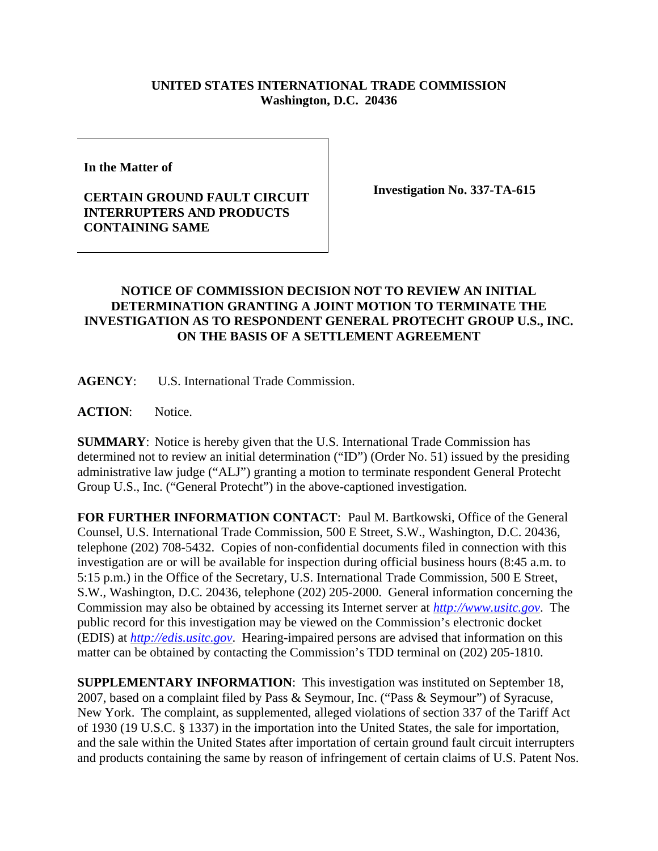## **UNITED STATES INTERNATIONAL TRADE COMMISSION Washington, D.C. 20436**

**In the Matter of** 

## **CERTAIN GROUND FAULT CIRCUIT INTERRUPTERS AND PRODUCTS CONTAINING SAME**

**Investigation No. 337-TA-615**

## **NOTICE OF COMMISSION DECISION NOT TO REVIEW AN INITIAL DETERMINATION GRANTING A JOINT MOTION TO TERMINATE THE INVESTIGATION AS TO RESPONDENT GENERAL PROTECHT GROUP U.S., INC. ON THE BASIS OF A SETTLEMENT AGREEMENT**

**AGENCY**: U.S. International Trade Commission.

**ACTION**: Notice.

**SUMMARY**: Notice is hereby given that the U.S. International Trade Commission has determined not to review an initial determination ("ID") (Order No. 51) issued by the presiding administrative law judge ("ALJ") granting a motion to terminate respondent General Protecht Group U.S., Inc. ("General Protecht") in the above-captioned investigation.

**FOR FURTHER INFORMATION CONTACT**: Paul M. Bartkowski, Office of the General Counsel, U.S. International Trade Commission, 500 E Street, S.W., Washington, D.C. 20436, telephone (202) 708-5432. Copies of non-confidential documents filed in connection with this investigation are or will be available for inspection during official business hours (8:45 a.m. to 5:15 p.m.) in the Office of the Secretary, U.S. International Trade Commission, 500 E Street, S.W., Washington, D.C. 20436, telephone (202) 205-2000. General information concerning the Commission may also be obtained by accessing its Internet server at *http://www.usitc.gov*. The public record for this investigation may be viewed on the Commission's electronic docket (EDIS) at *http://edis.usitc.gov*. Hearing-impaired persons are advised that information on this matter can be obtained by contacting the Commission's TDD terminal on (202) 205-1810.

**SUPPLEMENTARY INFORMATION**: This investigation was instituted on September 18, 2007, based on a complaint filed by Pass & Seymour, Inc. ("Pass & Seymour") of Syracuse, New York. The complaint, as supplemented, alleged violations of section 337 of the Tariff Act of 1930 (19 U.S.C. § 1337) in the importation into the United States, the sale for importation, and the sale within the United States after importation of certain ground fault circuit interrupters and products containing the same by reason of infringement of certain claims of U.S. Patent Nos.